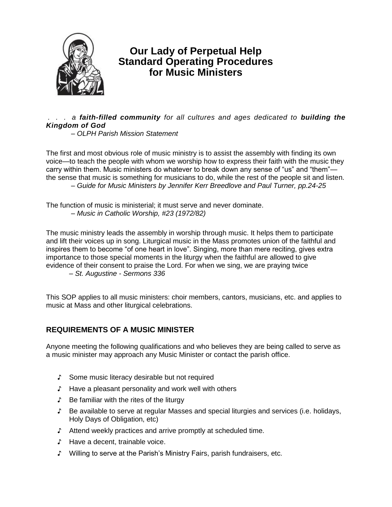

# **Our Lady of Perpetual Help Standard Operating Procedures for Music Ministers**

### *. . . a faith-filled community for all cultures and ages dedicated to building the Kingdom of God*

*– OLPH Parish Mission Statement*

The first and most obvious role of music ministry is to assist the assembly with finding its own voice—to teach the people with whom we worship how to express their faith with the music they carry within them. Music ministers do whatever to break down any sense of "us" and "them" the sense that music is something for musicians to do, while the rest of the people sit and listen. *– Guide for Music Ministers by Jennifer Kerr Breedlove and Paul Turner, pp.24-25*

The function of music is ministerial; it must serve and never dominate. *– Music in Catholic Worship, #23 (1972/82)*

The music ministry leads the assembly in worship through music. It helps them to participate and lift their voices up in song. Liturgical music in the Mass promotes union of the faithful and inspires them to become "of one heart in love". Singing, more than mere reciting, gives extra importance to those special moments in the liturgy when the faithful are allowed to give evidence of their consent to praise the Lord. For when we sing, we are praying twice *– St. Augustine - Sermons 336*

This SOP applies to all music ministers: choir members, cantors, musicians, etc. and applies to music at Mass and other liturgical celebrations.

## **REQUIREMENTS OF A MUSIC MINISTER**

Anyone meeting the following qualifications and who believes they are being called to serve as a music minister may approach any Music Minister or contact the parish office.

- ♪ Some music literacy desirable but not required
- ♪ Have a pleasant personality and work well with others
- ♪ Be familiar with the rites of the liturgy
- ♪ Be available to serve at regular Masses and special liturgies and services (i.e. holidays, Holy Days of Obligation, etc)
- ♪ Attend weekly practices and arrive promptly at scheduled time.
- ♪ Have a decent, trainable voice.
- ♪ Willing to serve at the Parish's Ministry Fairs, parish fundraisers, etc.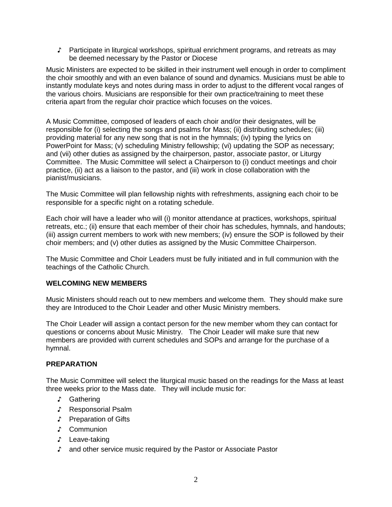♪ Participate in liturgical workshops, spiritual enrichment programs, and retreats as may be deemed necessary by the Pastor or Diocese

Music Ministers are expected to be skilled in their instrument well enough in order to compliment the choir smoothly and with an even balance of sound and dynamics. Musicians must be able to instantly modulate keys and notes during mass in order to adjust to the different vocal ranges of the various choirs. Musicians are responsible for their own practice/training to meet these criteria apart from the regular choir practice which focuses on the voices.

A Music Committee, composed of leaders of each choir and/or their designates, will be responsible for (i) selecting the songs and psalms for Mass; (ii) distributing schedules; (iii) providing material for any new song that is not in the hymnals; (iv) typing the lyrics on PowerPoint for Mass; (v) scheduling Ministry fellowship; (vi) updating the SOP as necessary; and (vii) other duties as assigned by the chairperson, pastor, associate pastor, or Liturgy Committee. The Music Committee will select a Chairperson to (i) conduct meetings and choir practice, (ii) act as a liaison to the pastor, and (iii) work in close collaboration with the pianist/musicians.

The Music Committee will plan fellowship nights with refreshments, assigning each choir to be responsible for a specific night on a rotating schedule.

Each choir will have a leader who will (i) monitor attendance at practices, workshops, spiritual retreats, etc.; (ii) ensure that each member of their choir has schedules, hymnals, and handouts; (iii) assign current members to work with new members; (iv) ensure the SOP is followed by their choir members; and (v) other duties as assigned by the Music Committee Chairperson.

The Music Committee and Choir Leaders must be fully initiated and in full communion with the teachings of the Catholic Church.

#### **WELCOMING NEW MEMBERS**

Music Ministers should reach out to new members and welcome them. They should make sure they are Introduced to the Choir Leader and other Music Ministry members.

The Choir Leader will assign a contact person for the new member whom they can contact for questions or concerns about Music Ministry. The Choir Leader will make sure that new members are provided with current schedules and SOPs and arrange for the purchase of a hymnal.

#### **PREPARATION**

The Music Committee will select the liturgical music based on the readings for the Mass at least three weeks prior to the Mass date. They will include music for:

- ♪ Gathering
- ♪ Responsorial Psalm
- ♪ Preparation of Gifts
- ♪ Communion
- ♪ Leave-taking
- ♪ and other service music required by the Pastor or Associate Pastor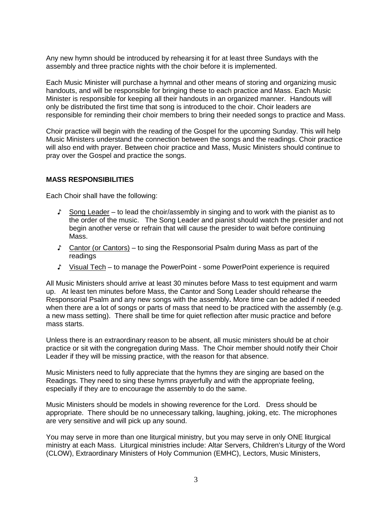Any new hymn should be introduced by rehearsing it for at least three Sundays with the assembly and three practice nights with the choir before it is implemented.

Each Music Minister will purchase a hymnal and other means of storing and organizing music handouts, and will be responsible for bringing these to each practice and Mass. Each Music Minister is responsible for keeping all their handouts in an organized manner.Handouts will only be distributed the first time that song is introduced to the choir. Choir leaders are responsible for reminding their choir members to bring their needed songs to practice and Mass.

Choir practice will begin with the reading of the Gospel for the upcoming Sunday. This will help Music Ministers understand the connection between the songs and the readings. Choir practice will also end with prayer. Between choir practice and Mass, Music Ministers should continue to pray over the Gospel and practice the songs.

#### **MASS RESPONSIBILITIES**

Each Choir shall have the following:

- ♪ Song Leader to lead the choir/assembly in singing and to work with the pianist as to the order of the music. The Song Leader and pianist should watch the presider and not begin another verse or refrain that will cause the presider to wait before continuing Mass.
- ♪ Cantor (or Cantors) to sing the Responsorial Psalm during Mass as part of the readings
- ♪ Visual Tech to manage the PowerPoint some PowerPoint experience is required

All Music Ministers should arrive at least 30 minutes before Mass to test equipment and warm up. At least ten minutes before Mass, the Cantor and Song Leader should rehearse the Responsorial Psalm and any new songs with the assembly**.** More time can be added if needed when there are a lot of songs or parts of mass that need to be practiced with the assembly (e.g. a new mass setting). There shall be time for quiet reflection after music practice and before mass starts.

Unless there is an extraordinary reason to be absent, all music ministers should be at choir practice or sit with the congregation during Mass. The Choir member should notify their Choir Leader if they will be missing practice, with the reason for that absence.

Music Ministers need to fully appreciate that the hymns they are singing are based on the Readings. They need to sing these hymns prayerfully and with the appropriate feeling, especially if they are to encourage the assembly to do the same.

Music Ministers should be models in showing reverence for the Lord. Dress should be appropriate. There should be no unnecessary talking, laughing, joking, etc. The microphones are very sensitive and will pick up any sound.

You may serve in more than one liturgical ministry, but you may serve in only ONE liturgical ministry at each Mass. Liturgical ministries include: Altar Servers, Children's Liturgy of the Word (CLOW), Extraordinary Ministers of Holy Communion (EMHC), Lectors, Music Ministers,